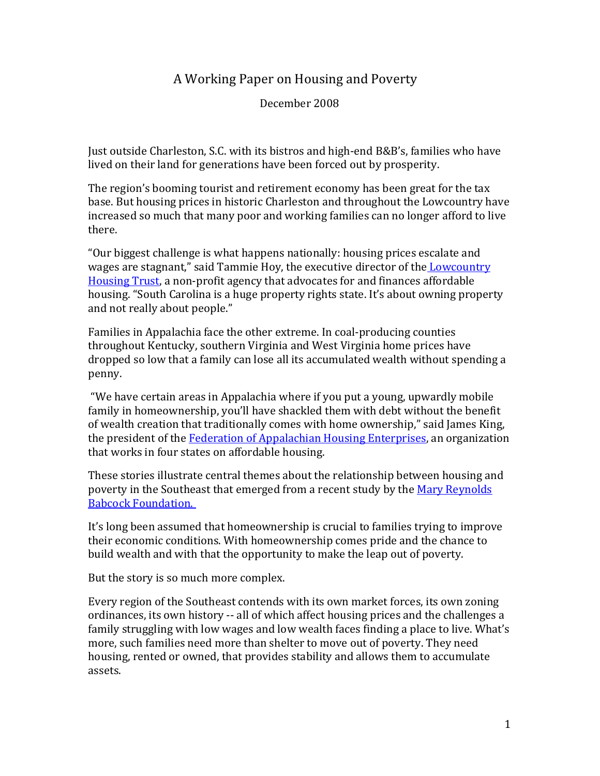# A Working Paper on Housing and Poverty

December 2008

Just outside Charleston, S.C. with its bistros and high-end B&B's, families who have lived on their land for generations have been forced out by prosperity.

The region's booming tourist and retirement economy has been great for the tax base. But housing prices in historic Charleston and throughout the Lowcountry have increased so much that many poor and working families can no longer afford to live there.

"Our biggest challenge is what happens nationally: housing prices escalate and wages are stagnant," said Tammie Hoy, the executive director of the **Lowcountry** [Housing Trust,](http://www.lowcountryhousingtrust.org/) a non-profit agency that advocates for and finances affordable housing. "South Carolina is a huge property rights state. It's about owning property and not really about people."

Families in Appalachia face the other extreme. In coal-producing counties throughout Kentucky, southern Virginia and West Virginia home prices have dropped so low that a family can lose all its accumulated wealth without spending a penny.

"We have certain areas in Appalachia where if you put a young, upwardly mobile family in homeownership, you'll have shackled them with debt without the benefit of wealth creation that traditionally comes with home ownership," said James King, the president of the [Federation of Appalachian Housing Enterprises,](http://www.fahe.org/) an organization that works in four states on affordable housing.

These stories illustrate central themes about the relationship between housing and poverty in the Southeast that emerged from a recent study by the [Mary Reynolds](http://www.mrbf.org/)  [Babcock Foundation.](http://www.mrbf.org/) 

It's long been assumed that homeownership is crucial to families trying to improve their economic conditions. With homeownership comes pride and the chance to build wealth and with that the opportunity to make the leap out of poverty.

But the story is so much more complex.

Every region of the Southeast contends with its own market forces, its own zoning ordinances, its own history -- all of which affect housing prices and the challenges a family struggling with low wages and low wealth faces finding a place to live. What's more, such families need more than shelter to move out of poverty. They need housing, rented or owned, that provides stability and allows them to accumulate assets.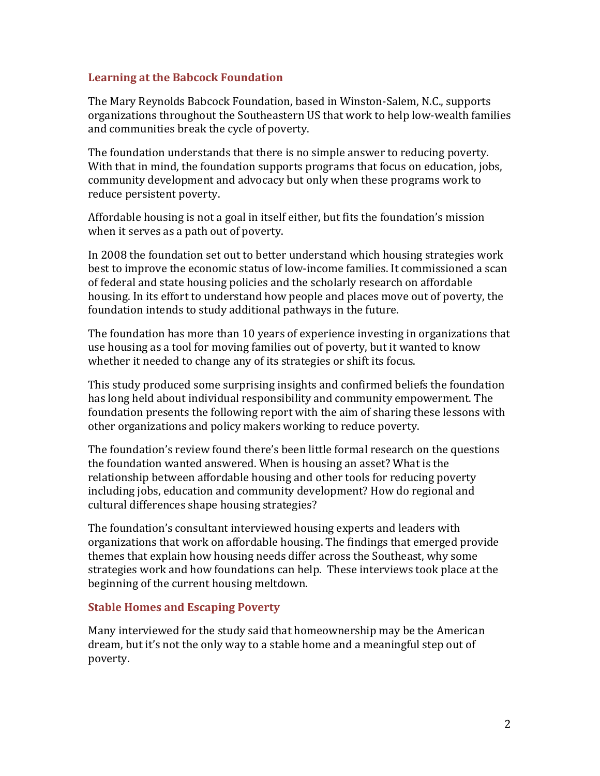#### **Learning at the Babcock Foundation**

The Mary Reynolds Babcock Foundation, based in Winston-Salem, N.C., supports organizations throughout the Southeastern US that work to help low-wealth families and communities break the cycle of poverty.

The foundation understands that there is no simple answer to reducing poverty. With that in mind, the foundation supports programs that focus on education, jobs, community development and advocacy but only when these programs work to reduce persistent poverty.

Affordable housing is not a goal in itself either, but fits the foundation's mission when it serves as a path out of poverty.

In 2008 the foundation set out to better understand which housing strategies work best to improve the economic status of low-income families. It commissioned a scan of federal and state housing policies and the scholarly research on affordable housing. In its effort to understand how people and places move out of poverty, the foundation intends to study additional pathways in the future.

The foundation has more than 10 years of experience investing in organizations that use housing as a tool for moving families out of poverty, but it wanted to know whether it needed to change any of its strategies or shift its focus.

This study produced some surprising insights and confirmed beliefs the foundation has long held about individual responsibility and community empowerment. The foundation presents the following report with the aim of sharing these lessons with other organizations and policy makers working to reduce poverty.

The foundation's review found there's been little formal research on the questions the foundation wanted answered. When is housing an asset? What is the relationship between affordable housing and other tools for reducing poverty including jobs, education and community development? How do regional and cultural differences shape housing strategies?

The foundation's consultant interviewed housing experts and leaders with organizations that work on affordable housing. The findings that emerged provide themes that explain how housing needs differ across the Southeast, why some strategies work and how foundations can help. These interviews took place at the beginning of the current housing meltdown.

#### **Stable Homes and Escaping Poverty**

Many interviewed for the study said that homeownership may be the American dream, but it's not the only way to a stable home and a meaningful step out of poverty.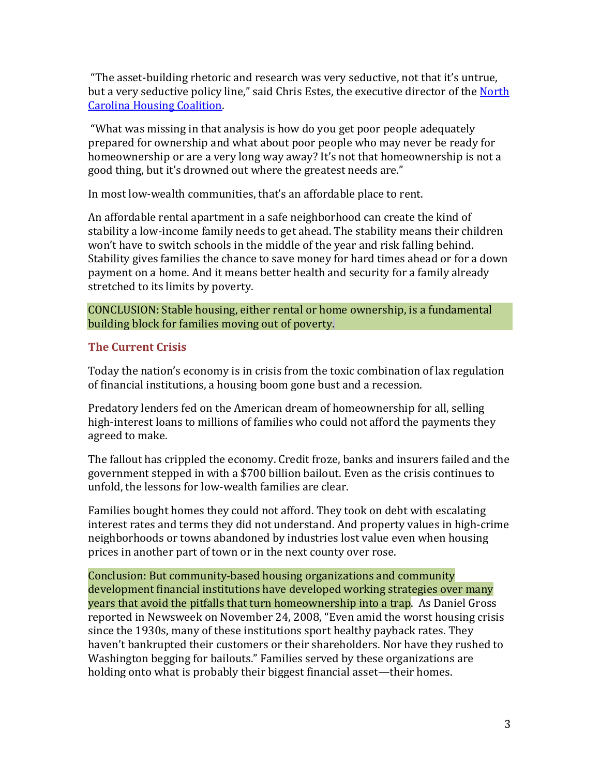"The asset-building rhetoric and research was very seductive, not that it's untrue, but a very seductive policy line," said Chris Estes, the executive director of the North [Carolina Housing Coalition.](http://www.nchousing.org/)

"What was missing in that analysis is how do you get poor people adequately prepared for ownership and what about poor people who may never be ready for homeownership or are a very long way away? It's not that homeownership is not a good thing, but it's drowned out where the greatest needs are."

In most low-wealth communities, that's an affordable place to rent.

An affordable rental apartment in a safe neighborhood can create the kind of stability a low-income family needs to get ahead. The stability means their children won't have to switch schools in the middle of the year and risk falling behind. Stability gives families the chance to save money for hard times ahead or for a down payment on a home. And it means better health and security for a family already stretched to its limits by poverty.

CONCLUSION: Stable housing, either rental or home ownership, is a fundamental building block for families moving out of poverty.

## **The Current Crisis**

Today the nation's economy is in crisis from the toxic combination of lax regulation of financial institutions, a housing boom gone bust and a recession.

Predatory lenders fed on the American dream of homeownership for all, selling high-interest loans to millions of families who could not afford the payments they agreed to make.

The fallout has crippled the economy. Credit froze, banks and insurers failed and the government stepped in with a \$700 billion bailout. Even as the crisis continues to unfold, the lessons for low-wealth families are clear.

Families bought homes they could not afford. They took on debt with escalating interest rates and terms they did not understand. And property values in high-crime neighborhoods or towns abandoned by industries lost value even when housing prices in another part of town or in the next county over rose.

Conclusion: But community-based housing organizations and community development financial institutions have developed working strategies over many years that avoid the pitfalls that turn homeownership into a trap. As Daniel Gross reported in Newsweek on November 24, 2008, "Even amid the worst housing crisis since the 1930s, many of these institutions sport healthy payback rates. They haven't bankrupted their customers or their shareholders. Nor have they rushed to Washington begging for bailouts." Families served by these organizations are holding onto what is probably their biggest financial asset—their homes.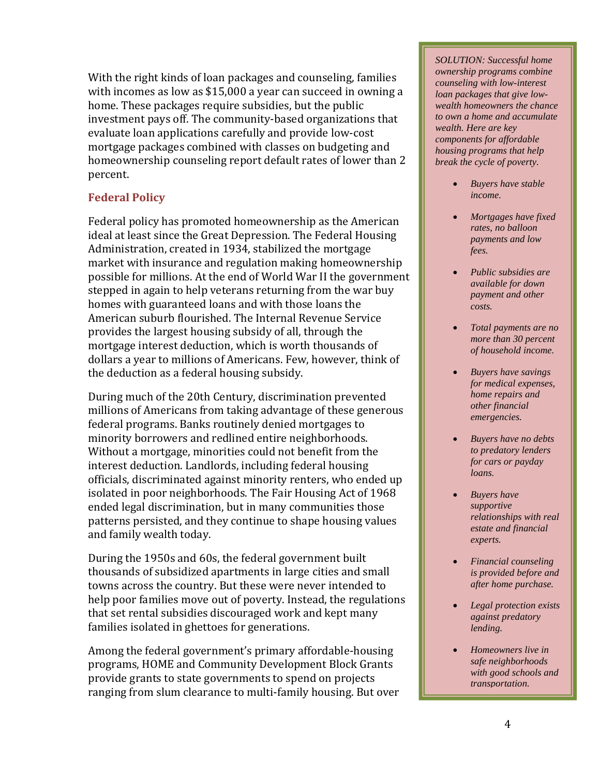With the right kinds of loan packages and counseling, families with incomes as low as \$15,000 a year can succeed in owning a home. These packages require subsidies, but the public investment pays off. The community-based organizations that evaluate loan applications carefully and provide low-cost mortgage packages combined with classes on budgeting and homeownership counseling report default rates of lower than 2 percent.

## **Federal Policy**

Federal policy has promoted homeownership as the American ideal at least since the Great Depression. The Federal Housing Administration, created in 1934, stabilized the mortgage market with insurance and regulation making homeownership possible for millions. At the end of World War II the government stepped in again to help veterans returning from the war buy homes with guaranteed loans and with those loans the American suburb flourished. The Internal Revenue Service provides the largest housing subsidy of all, through the mortgage interest deduction, which is worth thousands of dollars a year to millions of Americans. Few, however, think of the deduction as a federal housing subsidy.

During much of the 20th Century, discrimination prevented millions of Americans from taking advantage of these generous federal programs. Banks routinely denied mortgages to minority borrowers and redlined entire neighborhoods. Without a mortgage, minorities could not benefit from the interest deduction. Landlords, including federal housing officials, discriminated against minority renters, who ended up isolated in poor neighborhoods. The Fair Housing Act of 1968 ended legal discrimination, but in many communities those patterns persisted, and they continue to shape housing values and family wealth today.

During the 1950s and 60s, the federal government built thousands of subsidized apartments in large cities and small towns across the country. But these were never intended to help poor families move out of poverty. Instead, the regulations that set rental subsidies discouraged work and kept many families isolated in ghettoes for generations.

Among the federal government's primary affordable-housing programs, HOME and Community Development Block Grants provide grants to state governments to spend on projects ranging from slum clearance to multi-family housing. But over *SOLUTION: Successful home ownership programs combine counseling with low-interest loan packages that give lowwealth homeowners the chance to own a home and accumulate wealth. Here are key components for affordable housing programs that help break the cycle of poverty.*

- *Buyers have stable income.*
- *Mortgages have fixed rates, no balloon payments and low fees.*
- *Public subsidies are available for down payment and other costs.*
- *Total payments are no more than 30 percent of household income.*
- *Buyers have savings for medical expenses, home repairs and other financial emergencies.*
- *Buyers have no debts to predatory lenders for cars or payday loans.*
- *Buyers have supportive relationships with real estate and financial experts.*
- *Financial counseling is provided before and after home purchase.*
- *Legal protection exists against predatory lending.*
- *Homeowners live in safe neighborhoods with good schools and transportation.*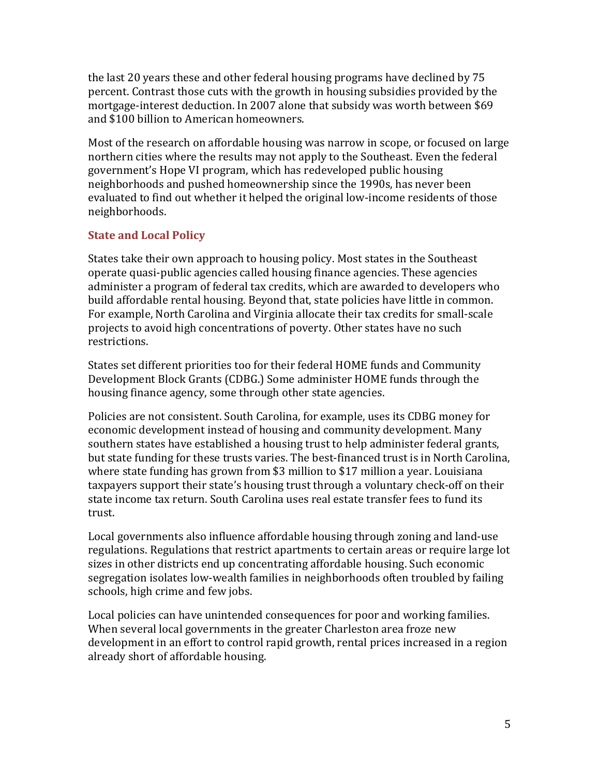the last 20 years these and other federal housing programs have declined by 75 percent. Contrast those cuts with the growth in housing subsidies provided by the mortgage-interest deduction. In 2007 alone that subsidy was worth between \$69 and \$100 billion to American homeowners.

Most of the research on affordable housing was narrow in scope, or focused on large northern cities where the results may not apply to the Southeast. Even the federal government's Hope VI program, which has redeveloped public housing neighborhoods and pushed homeownership since the 1990s, has never been evaluated to find out whether it helped the original low-income residents of those neighborhoods.

### **State and Local Policy**

States take their own approach to housing policy. Most states in the Southeast operate quasi-public agencies called housing finance agencies. These agencies administer a program of federal tax credits, which are awarded to developers who build affordable rental housing. Beyond that, state policies have little in common. For example, North Carolina and Virginia allocate their tax credits for small-scale projects to avoid high concentrations of poverty. Other states have no such restrictions.

States set different priorities too for their federal HOME funds and Community Development Block Grants (CDBG.) Some administer HOME funds through the housing finance agency, some through other state agencies.

Policies are not consistent. South Carolina, for example, uses its CDBG money for economic development instead of housing and community development. Many southern states have established a housing trust to help administer federal grants, but state funding for these trusts varies. The best-financed trust is in North Carolina, where state funding has grown from \$3 million to \$17 million a year. Louisiana taxpayers support their state's housing trust through a voluntary check-off on their state income tax return. South Carolina uses real estate transfer fees to fund its trust.

Local governments also influence affordable housing through zoning and land-use regulations. Regulations that restrict apartments to certain areas or require large lot sizes in other districts end up concentrating affordable housing. Such economic segregation isolates low-wealth families in neighborhoods often troubled by failing schools, high crime and few jobs.

Local policies can have unintended consequences for poor and working families. When several local governments in the greater Charleston area froze new development in an effort to control rapid growth, rental prices increased in a region already short of affordable housing.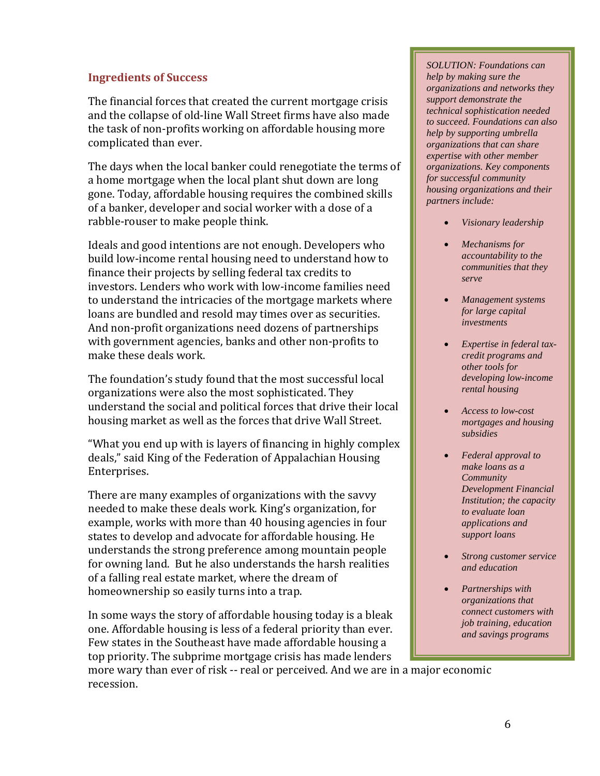#### **Ingredients of Success**

The financial forces that created the current mortgage crisis and the collapse of old-line Wall Street firms have also made the task of non-profits working on affordable housing more complicated than ever.

The days when the local banker could renegotiate the terms of a home mortgage when the local plant shut down are long gone. Today, affordable housing requires the combined skills of a banker, developer and social worker with a dose of a rabble-rouser to make people think.

Ideals and good intentions are not enough. Developers who build low-income rental housing need to understand how to finance their projects by selling federal tax credits to investors. Lenders who work with low-income families need to understand the intricacies of the mortgage markets where loans are bundled and resold may times over as securities. And non-profit organizations need dozens of partnerships with government agencies, banks and other non-profits to make these deals work.

The foundation's study found that the most successful local organizations were also the most sophisticated. They understand the social and political forces that drive their local housing market as well as the forces that drive Wall Street.

"What you end up with is layers of financing in highly complex deals," said King of the Federation of Appalachian Housing Enterprises.

There are many examples of organizations with the savvy needed to make these deals work. King's organization, for example, works with more than 40 housing agencies in four states to develop and advocate for affordable housing. He understands the strong preference among mountain people for owning land. But he also understands the harsh realities of a falling real estate market, where the dream of homeownership so easily turns into a trap.

In some ways the story of affordable housing today is a bleak one. Affordable housing is less of a federal priority than ever. Few states in the Southeast have made affordable housing a top priority. The subprime mortgage crisis has made lenders

*SOLUTION: Foundations can help by making sure the organizations and networks they support demonstrate the technical sophistication needed to succeed. Foundations can also help by supporting umbrella organizations that can share expertise with other member organizations. Key components for successful community housing organizations and their partners include:*

- *Visionary leadership*
- *Mechanisms for accountability to the communities that they serve*
- *Management systems for large capital investments*
- *Expertise in federal taxcredit programs and other tools for developing low-income rental housing*
- *Access to low-cost mortgages and housing subsidies*
- *Federal approval to make loans as a Community Development Financial Institution; the capacity to evaluate loan applications and support loans*
- *Strong customer service and education*
- *Partnerships with organizations that connect customers with job training, education and savings programs*

more wary than ever of risk -- real or perceived. And we are in a major economic recession.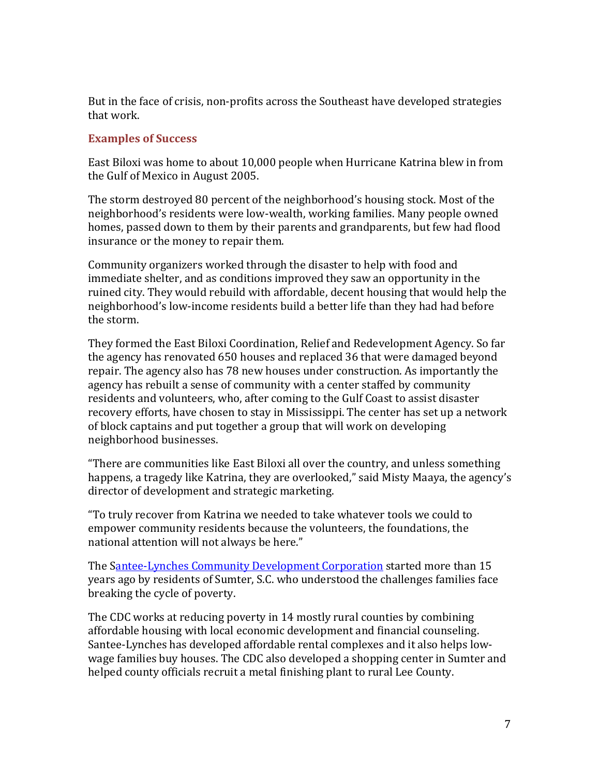But in the face of crisis, non-profits across the Southeast have developed strategies that work.

#### **Examples of Success**

East Biloxi was home to about 10,000 people when Hurricane Katrina blew in from the Gulf of Mexico in August 2005.

The storm destroyed 80 percent of the neighborhood's housing stock. Most of the neighborhood's residents were low-wealth, working families. Many people owned homes, passed down to them by their parents and grandparents, but few had flood insurance or the money to repair them.

Community organizers worked through the disaster to help with food and immediate shelter, and as conditions improved they saw an opportunity in the ruined city. They would rebuild with affordable, decent housing that would help the neighborhood's low-income residents build a better life than they had had before the storm.

They formed the East Biloxi Coordination, Relief and Redevelopment Agency. So far the agency has renovated 650 houses and replaced 36 that were damaged beyond repair. The agency also has 78 new houses under construction. As importantly the agency has rebuilt a sense of community with a center staffed by community residents and volunteers, who, after coming to the Gulf Coast to assist disaster recovery efforts, have chosen to stay in Mississippi. The center has set up a network of block captains and put together a group that will work on developing neighborhood businesses.

"There are communities like East Biloxi all over the country, and unless something happens, a tragedy like Katrina, they are overlooked," said Misty Maaya, the agency's director of development and strategic marketing.

"To truly recover from Katrina we needed to take whatever tools we could to empower community residents because the volunteers, the foundations, the national attention will not always be here."

The [Santee-Lynches Community Development Corporation](http://www.slcdc.net/) started more than 15 years ago by residents of Sumter, S.C. who understood the challenges families face breaking the cycle of poverty.

The CDC works at reducing poverty in 14 mostly rural counties by combining affordable housing with local economic development and financial counseling. Santee-Lynches has developed affordable rental complexes and it also helps lowwage families buy houses. The CDC also developed a shopping center in Sumter and helped county officials recruit a metal finishing plant to rural Lee County.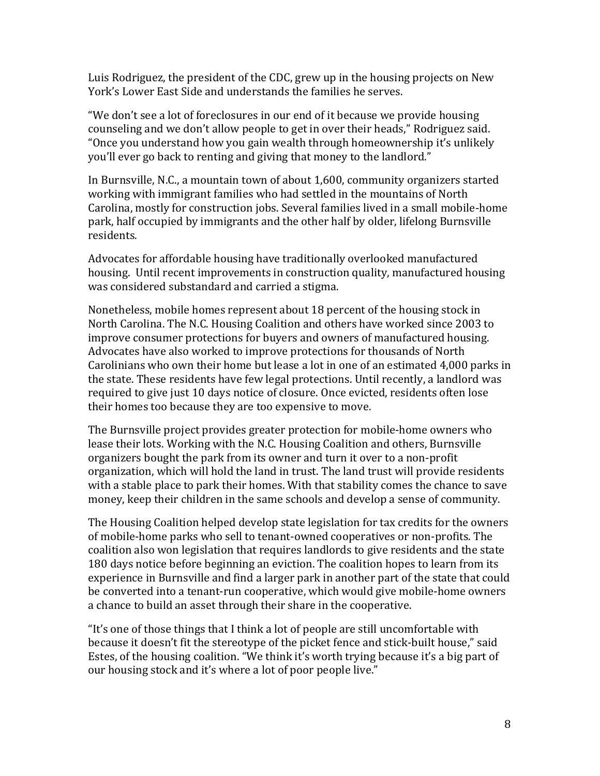Luis Rodriguez, the president of the CDC, grew up in the housing projects on New York's Lower East Side and understands the families he serves.

"We don't see a lot of foreclosures in our end of it because we provide housing counseling and we don't allow people to get in over their heads," Rodriguez said. "Once you understand how you gain wealth through homeownership it's unlikely you'll ever go back to renting and giving that money to the landlord."

In Burnsville, N.C., a mountain town of about 1,600, community organizers started working with immigrant families who had settled in the mountains of North Carolina, mostly for construction jobs. Several families lived in a small mobile-home park, half occupied by immigrants and the other half by older, lifelong Burnsville residents.

Advocates for affordable housing have traditionally overlooked manufactured housing. Until recent improvements in construction quality, manufactured housing was considered substandard and carried a stigma.

Nonetheless, mobile homes represent about 18 percent of the housing stock in North Carolina. The N.C. Housing Coalition and others have worked since 2003 to improve consumer protections for buyers and owners of manufactured housing. Advocates have also worked to improve protections for thousands of North Carolinians who own their home but lease a lot in one of an estimated 4,000 parks in the state. These residents have few legal protections. Until recently, a landlord was required to give just 10 days notice of closure. Once evicted, residents often lose their homes too because they are too expensive to move.

The Burnsville project provides greater protection for mobile-home owners who lease their lots. Working with the N.C. Housing Coalition and others, Burnsville organizers bought the park from its owner and turn it over to a non-profit organization, which will hold the land in trust. The land trust will provide residents with a stable place to park their homes. With that stability comes the chance to save money, keep their children in the same schools and develop a sense of community.

The Housing Coalition helped develop state legislation for tax credits for the owners of mobile-home parks who sell to tenant-owned cooperatives or non-profits. The coalition also won legislation that requires landlords to give residents and the state 180 days notice before beginning an eviction. The coalition hopes to learn from its experience in Burnsville and find a larger park in another part of the state that could be converted into a tenant-run cooperative, which would give mobile-home owners a chance to build an asset through their share in the cooperative.

"It's one of those things that I think a lot of people are still uncomfortable with because it doesn't fit the stereotype of the picket fence and stick-built house," said Estes, of the housing coalition. "We think it's worth trying because it's a big part of our housing stock and it's where a lot of poor people live."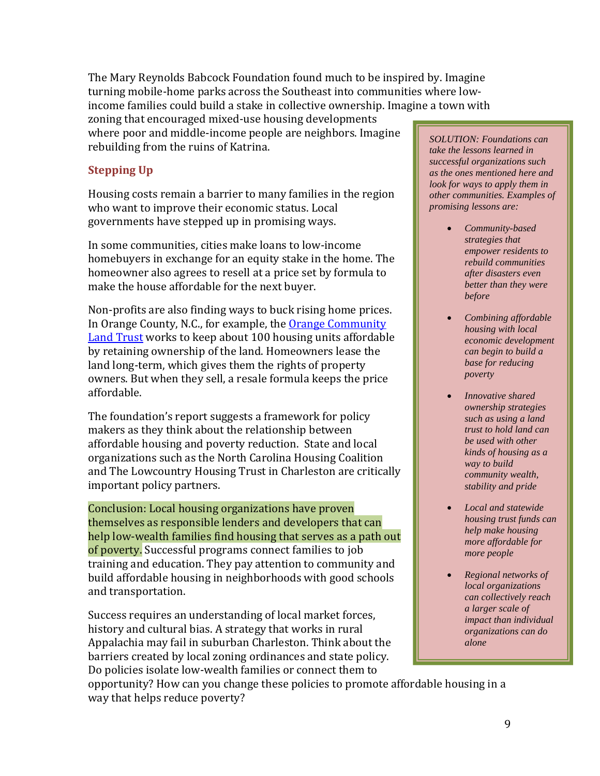The Mary Reynolds Babcock Foundation found much to be inspired by. Imagine turning mobile-home parks across the Southeast into communities where lowincome families could build a stake in collective ownership. Imagine a town with

zoning that encouraged mixed-use housing developments where poor and middle-income people are neighbors. Imagine rebuilding from the ruins of Katrina.

# **Stepping Up**

Housing costs remain a barrier to many families in the region who want to improve their economic status. Local governments have stepped up in promising ways.

In some communities, cities make loans to low-income homebuyers in exchange for an equity stake in the home. The homeowner also agrees to resell at a price set by formula to make the house affordable for the next buyer.

Non-profits are also finding ways to buck rising home prices. In Orange County, N.C., for example, the [Orange Community](http://www.communityhometrust.org/index.shtml)  [Land Trust](http://www.communityhometrust.org/index.shtml) works to keep about 100 housing units affordable by retaining ownership of the land. Homeowners lease the land long-term, which gives them the rights of property owners. But when they sell, a resale formula keeps the price affordable.

The foundation's report suggests a framework for policy makers as they think about the relationship between affordable housing and poverty reduction. State and local organizations such as the North Carolina Housing Coalition and The Lowcountry Housing Trust in Charleston are critically important policy partners.

Conclusion: Local housing organizations have proven themselves as responsible lenders and developers that can help low-wealth families find housing that serves as a path out of poverty. Successful programs connect families to job training and education. They pay attention to community and build affordable housing in neighborhoods with good schools and transportation.

Success requires an understanding of local market forces, history and cultural bias. A strategy that works in rural Appalachia may fail in suburban Charleston. Think about the barriers created by local zoning ordinances and state policy. Do policies isolate low-wealth families or connect them to

*SOLUTION: Foundations can take the lessons learned in successful organizations such as the ones mentioned here and look for ways to apply them in other communities. Examples of promising lessons are:*

- *Community-based strategies that empower residents to rebuild communities after disasters even better than they were before*
- *Combining affordable housing with local economic development can begin to build a base for reducing poverty*
- *Innovative shared ownership strategies such as using a land trust to hold land can be used with other kinds of housing as a way to build community wealth, stability and pride*
- *Local and statewide housing trust funds can help make housing more affordable for more people*
- *Regional networks of local organizations can collectively reach a larger scale of impact than individual organizations can do alone*

opportunity? How can you change these policies to promote affordable housing in a way that helps reduce poverty?